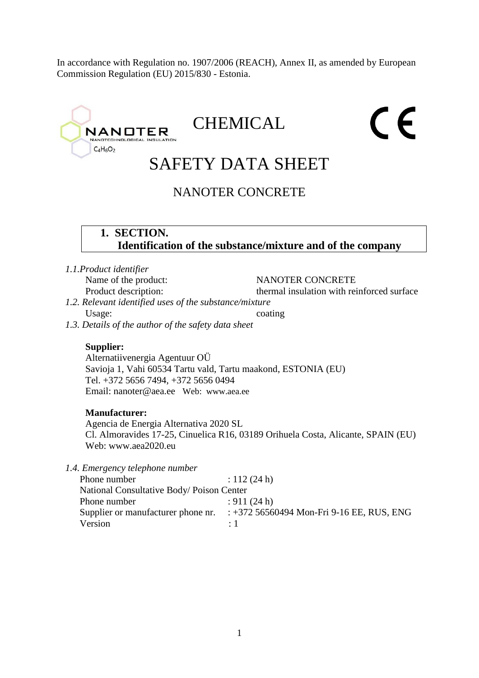In accordance with Regulation no. 1907/2006 (REACH), Annex II, as amended by European Commission Regulation (EU) 2015/830 - Estonia.

# $\epsilon$ CHEMICAL **NANOTER** TECHNOLOGICAL INS  $C_4H_6O_2$ SAFETY DATA SHEET NANOTER CONCRETE **1. SECTION. Identification of the substance/mixture and of the company** *1.1.Product identifier* Name of the product: NANOTER CONCRETE Product description: thermal insulation with reinforced surface *1.2. Relevant identified uses of the substance/mixture* Usage: coating *1.3. Details of the author of the safety data sheet* **Supplier:** Alternatiivenergia Agentuur OÜ Savioja 1, Vahi 60534 Tartu vald, Tartu maakond, ESTONIA (EU) Tel. +372 5656 7494, +372 5656 0494 Email: nanoter@aea.ee Web: www.aea.ee **Manufacturer:**  Agencia de Energia Alternativa 2020 SL Cl. Almoravides 17-25, Cinuelica R16, 03189 Orihuela Costa, Alicante, SPAIN (EU) Web: www.aea2020.eu

*1.4. Emergency telephone number*

| Phone number                             | : $112(24 h)$                               |
|------------------------------------------|---------------------------------------------|
| National Consultative Body/Poison Center |                                             |
| Phone number                             | : 911(24 h)                                 |
| Supplier or manufacturer phone nr.       | : $+372$ 56560494 Mon-Fri 9-16 EE, RUS, ENG |
| Version                                  | $\cdot$ 1                                   |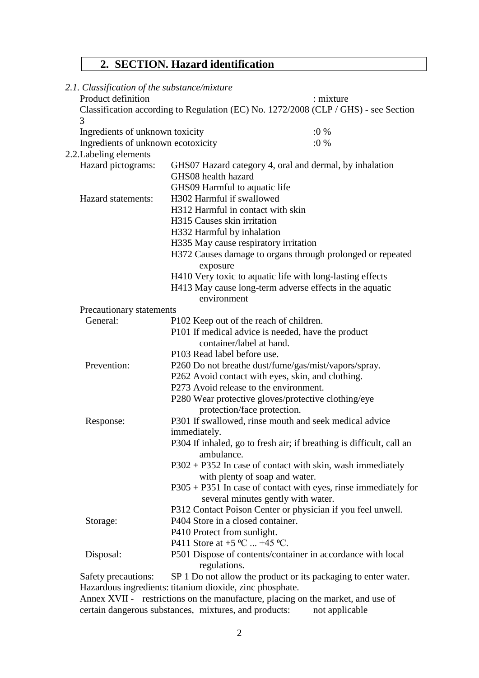# **2. SECTION. Hazard identification**

| 2.1. Classification of the substance/mixture            |                                                          |                                                                                     |  |
|---------------------------------------------------------|----------------------------------------------------------|-------------------------------------------------------------------------------------|--|
| Product definition                                      |                                                          | : mixture                                                                           |  |
| 3                                                       |                                                          | Classification according to Regulation (EC) No. 1272/2008 (CLP / GHS) - see Section |  |
| Ingredients of unknown toxicity                         |                                                          | $:0\%$                                                                              |  |
| Ingredients of unknown ecotoxicity                      |                                                          | $:0\%$                                                                              |  |
| 2.2. Labeling elements                                  |                                                          |                                                                                     |  |
| Hazard pictograms:                                      |                                                          | GHS07 Hazard category 4, oral and dermal, by inhalation                             |  |
|                                                         | GHS08 health hazard                                      |                                                                                     |  |
|                                                         | GHS09 Harmful to aquatic life                            |                                                                                     |  |
| Hazard statements:                                      | H302 Harmful if swallowed                                |                                                                                     |  |
|                                                         | H312 Harmful in contact with skin                        |                                                                                     |  |
|                                                         | H315 Causes skin irritation                              |                                                                                     |  |
|                                                         | H332 Harmful by inhalation                               |                                                                                     |  |
|                                                         | H335 May cause respiratory irritation                    |                                                                                     |  |
|                                                         |                                                          | H372 Causes damage to organs through prolonged or repeated                          |  |
|                                                         | exposure                                                 |                                                                                     |  |
|                                                         |                                                          | H410 Very toxic to aquatic life with long-lasting effects                           |  |
| H413 May cause long-term adverse effects in the aquatic |                                                          |                                                                                     |  |
|                                                         | environment                                              |                                                                                     |  |
| Precautionary statements                                |                                                          |                                                                                     |  |
| General:<br>P102 Keep out of the reach of children.     |                                                          |                                                                                     |  |
|                                                         | P101 If medical advice is needed, have the product       |                                                                                     |  |
|                                                         | container/label at hand.                                 |                                                                                     |  |
|                                                         | P103 Read label before use.                              |                                                                                     |  |
| Prevention:                                             |                                                          | P260 Do not breathe dust/fume/gas/mist/vapors/spray.                                |  |
|                                                         | P262 Avoid contact with eyes, skin, and clothing.        |                                                                                     |  |
|                                                         | P273 Avoid release to the environment.                   |                                                                                     |  |
|                                                         | P280 Wear protective gloves/protective clothing/eye      |                                                                                     |  |
|                                                         | protection/face protection.                              |                                                                                     |  |
| Response:                                               |                                                          | P301 If swallowed, rinse mouth and seek medical advice                              |  |
|                                                         | immediately.                                             |                                                                                     |  |
|                                                         | ambulance.                                               | P304 If inhaled, go to fresh air; if breathing is difficult, call an                |  |
|                                                         |                                                          | $P302 + P352$ In case of contact with skin, wash immediately                        |  |
|                                                         | with plenty of soap and water.                           |                                                                                     |  |
|                                                         |                                                          | $P305 + P351$ In case of contact with eyes, rinse immediately for                   |  |
|                                                         | several minutes gently with water.                       |                                                                                     |  |
|                                                         |                                                          | P312 Contact Poison Center or physician if you feel unwell.                         |  |
| Storage:                                                | P404 Store in a closed container.                        |                                                                                     |  |
|                                                         | P410 Protect from sunlight.                              |                                                                                     |  |
|                                                         | P411 Store at $+5$ °C $+45$ °C.                          |                                                                                     |  |
| Disposal:                                               |                                                          | P501 Dispose of contents/container in accordance with local                         |  |
|                                                         | regulations.                                             |                                                                                     |  |
| Safety precautions:                                     |                                                          | SP 1 Do not allow the product or its packaging to enter water.                      |  |
|                                                         | Hazardous ingredients: titanium dioxide, zinc phosphate. |                                                                                     |  |

Annex XVII - restrictions on the manufacture, placing on the market, and use of certain dangerous substances, mixtures, and products: not applicable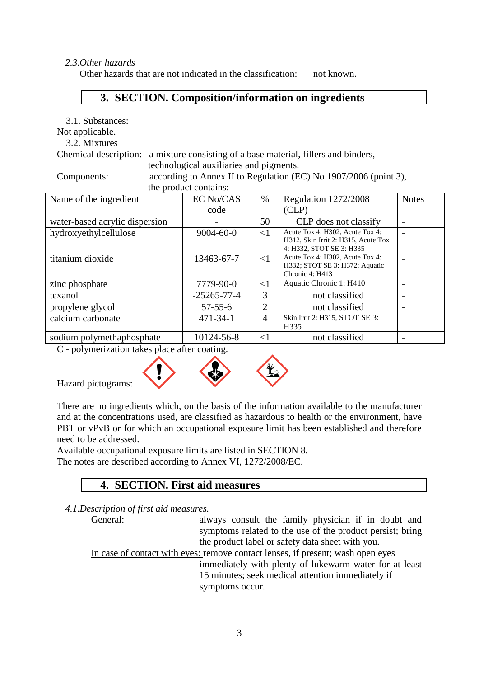#### *2.3.Other hazards*

Other hazards that are not indicated in the classification: not known.

## **3. SECTION. Composition/information on ingredients**

3.1. Substances:

Not applicable.

3.2. Mixtures

Chemical description: a mixture consisting of a base material, fillers and binders, technological auxiliaries and pigments.

Components: according to Annex II to Regulation (EC) No 1907/2006 (point 3), the

| product contains: |
|-------------------|
|                   |

| Name of the ingredient         | <b>EC No/CAS</b>  | %        | Regulation 1272/2008                                                                               | <b>Notes</b> |
|--------------------------------|-------------------|----------|----------------------------------------------------------------------------------------------------|--------------|
|                                | code              |          | CLP)                                                                                               |              |
| water-based acrylic dispersion |                   | 50       | CLP does not classify                                                                              |              |
| hydroxyethylcellulose          | $9004 - 60 - 0$   | $\leq$ 1 | Acute Tox 4: H302, Acute Tox 4:<br>H312, Skin Irrit 2: H315, Acute Tox<br>4: H332, STOT SE 3: H335 |              |
| titanium dioxide               | 13463-67-7        | $\leq$ 1 | Acute Tox 4: H302, Acute Tox 4:<br>H332; STOT SE 3: H372; Aquatic<br>Chronic 4: H413               |              |
| zinc phosphate                 | 7779-90-0         | $\leq$ 1 | Aquatic Chronic 1: H410                                                                            |              |
| texanol                        | $-25265 - 77 - 4$ | 3        | not classified                                                                                     |              |
| propylene glycol               | $57 - 55 - 6$     | 2        | not classified                                                                                     |              |
| calcium carbonate              | $471 - 34 - 1$    | 4        | Skin Irrit 2: H315, STOT SE 3:<br>H335                                                             |              |
| sodium polymethaphosphate      | 10124-56-8        | $\leq$ 1 | not classified                                                                                     |              |

C - polymerization takes place after coating.



Hazard pictograms:

There are no ingredients which, on the basis of the information available to the manufacturer and at the concentrations used, are classified as hazardous to health or the environment, have PBT or vPvB or for which an occupational exposure limit has been established and therefore need to be addressed.

Available occupational exposure limits are listed in SECTION 8. The notes are described according to Annex VI, 1272/2008/EC.

## **4. SECTION. First aid measures**

*4.1.Description of first aid measures.*

General: always consult the family physician if in doubt and symptoms related to the use of the product persist; bring the product label or safety data sheet with you.

In case of contact with eyes: remove contact lenses, if present; wash open eyes immediately with plenty of lukewarm water for at least 15 minutes; seek medical attention immediately if symptoms occur.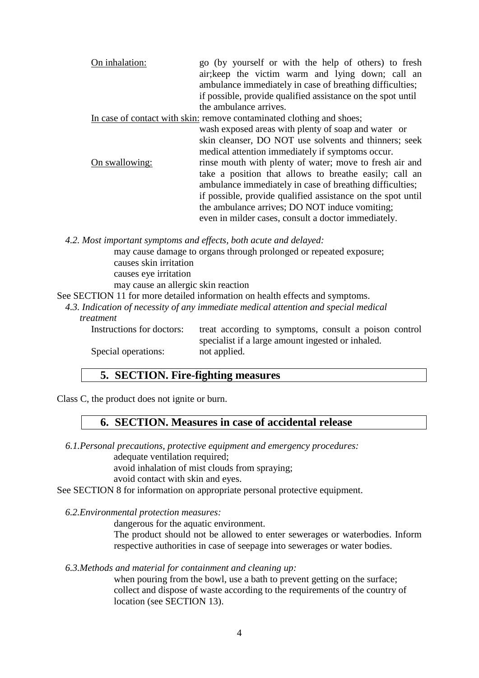On inhalation: go (by yourself or with the help of others) to fresh air;keep the victim warm and lying down; call an ambulance immediately in case of breathing difficulties; if possible, provide qualified assistance on the spot until the ambulance arrives.

In case of contact with skin: remove contaminated clothing and shoes;

wash exposed areas with plenty of soap and water or skin cleanser, DO NOT use solvents and thinners; seek medical attention immediately if symptoms occur. On swallowing: rinse mouth with plenty of water; move to fresh air and take a position that allows to breathe easily; call an ambulance immediately in case of breathing difficulties; if possible, provide qualified assistance on the spot until the ambulance arrives; DO NOT induce vomiting; even in milder cases, consult a doctor immediately.

*4.2. Most important symptoms and effects, both acute and delayed:*

may cause damage to organs through prolonged or repeated exposure; causes skin irritation causes eye irritation may cause an allergic skin reaction

See SECTION 11 for more detailed information on health effects and symptoms.

*4.3. Indication of necessity of any immediate medical attention and special medical treatment*

Instructions for doctors: treat according to symptoms, consult a poison control specialist if a large amount ingested or inhaled. Special operations: not applied.

## **5. SECTION. Fire-fighting measures**

Class C, the product does not ignite or burn.

## **6. SECTION. Measures in case of accidental release**

*6.1.Personal precautions, protective equipment and emergency procedures:*

adequate ventilation required;

avoid inhalation of mist clouds from spraying;

avoid contact with skin and eyes.

See SECTION 8 for information on appropriate personal protective equipment.

*6.2.Environmental protection measures:*

dangerous for the aquatic environment.

The product should not be allowed to enter sewerages or waterbodies. Inform respective authorities in case of seepage into sewerages or water bodies.

#### *6.3.Methods and material for containment and cleaning up:*

when pouring from the bowl, use a bath to prevent getting on the surface; collect and dispose of waste according to the requirements of the country of location (see SECTION 13).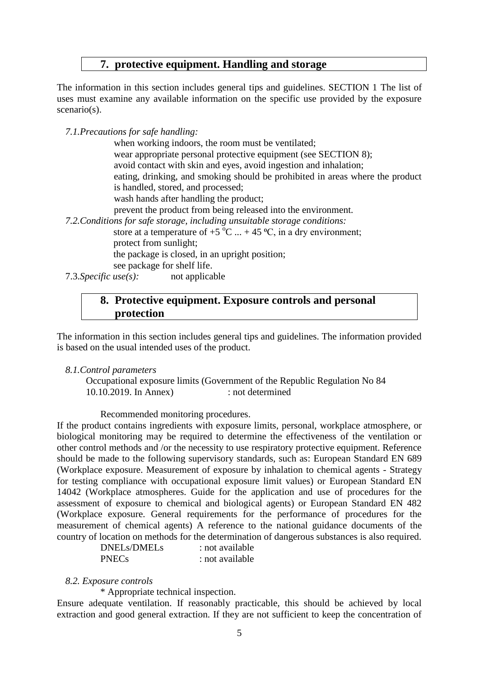## **7. protective equipment. Handling and storage**

The information in this section includes general tips and guidelines. SECTION 1 The list of uses must examine any available information on the specific use provided by the exposure scenario(s).

*7.1.Precautions for safe handling:*

when working indoors, the room must be ventilated; wear appropriate personal protective equipment (see SECTION 8); avoid contact with skin and eyes, avoid ingestion and inhalation; eating, drinking, and smoking should be prohibited in areas where the product is handled, stored, and processed; wash hands after handling the product; prevent the product from being released into the environment. *7.2.Conditions for safe storage, including unsuitable storage conditions:* store at a temperature of  $+5$  °C  $... + 45$  °C, in a dry environment; protect from sunlight; the package is closed, in an upright position; see package for shelf life. 7.3.*Specific use(s):* not applicable

## **8. Protective equipment. Exposure controls and personal protection**

The information in this section includes general tips and guidelines. The information provided is based on the usual intended uses of the product.

#### *8.1.Control parameters*

Occupational exposure limits (Government of the Republic Regulation No 84 10.10.2019. In Annex) : not determined

Recommended monitoring procedures.

If the product contains ingredients with exposure limits, personal, workplace atmosphere, or biological monitoring may be required to determine the effectiveness of the ventilation or other control methods and /or the necessity to use respiratory protective equipment. Reference should be made to the following supervisory standards, such as: European Standard EN 689 (Workplace exposure. Measurement of exposure by inhalation to chemical agents - Strategy for testing compliance with occupational exposure limit values) or European Standard EN 14042 (Workplace atmospheres. Guide for the application and use of procedures for the assessment of exposure to chemical and biological agents) or European Standard EN 482 (Workplace exposure. General requirements for the performance of procedures for the measurement of chemical agents) A reference to the national guidance documents of the country of location on methods for the determination of dangerous substances is also required.

DNELs/DMELs : not available PNECs : not available

#### *8.2. Exposure controls*

\* Appropriate technical inspection.

Ensure adequate ventilation. If reasonably practicable, this should be achieved by local extraction and good general extraction. If they are not sufficient to keep the concentration of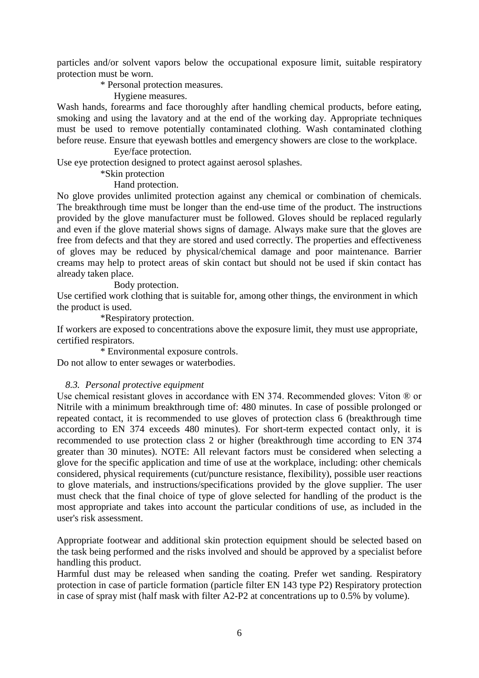particles and/or solvent vapors below the occupational exposure limit, suitable respiratory protection must be worn.

\* Personal protection measures.

Hygiene measures.

Wash hands, forearms and face thoroughly after handling chemical products, before eating, smoking and using the lavatory and at the end of the working day. Appropriate techniques must be used to remove potentially contaminated clothing. Wash contaminated clothing before reuse. Ensure that eyewash bottles and emergency showers are close to the workplace.

#### Eye/face protection.

Use eve protection designed to protect against aerosol splashes.

#### \*Skin protection

### Hand protection.

No glove provides unlimited protection against any chemical or combination of chemicals. The breakthrough time must be longer than the end-use time of the product. The instructions provided by the glove manufacturer must be followed. Gloves should be replaced regularly and even if the glove material shows signs of damage. Always make sure that the gloves are free from defects and that they are stored and used correctly. The properties and effectiveness of gloves may be reduced by physical/chemical damage and poor maintenance. Barrier creams may help to protect areas of skin contact but should not be used if skin contact has already taken place.

#### Body protection.

Use certified work clothing that is suitable for, among other things, the environment in which the product is used.

\*Respiratory protection.

If workers are exposed to concentrations above the exposure limit, they must use appropriate, certified respirators.

\* Environmental exposure controls.

Do not allow to enter sewages or waterbodies.

#### *8.3. Personal protective equipment*

Use chemical resistant gloves in accordance with EN 374. Recommended gloves: Viton ® or Nitrile with a minimum breakthrough time of: 480 minutes. In case of possible prolonged or repeated contact, it is recommended to use gloves of protection class 6 (breakthrough time according to EN 374 exceeds 480 minutes). For short-term expected contact only, it is recommended to use protection class 2 or higher (breakthrough time according to EN 374 greater than 30 minutes). NOTE: All relevant factors must be considered when selecting a glove for the specific application and time of use at the workplace, including: other chemicals considered, physical requirements (cut/puncture resistance, flexibility), possible user reactions to glove materials, and instructions/specifications provided by the glove supplier. The user must check that the final choice of type of glove selected for handling of the product is the most appropriate and takes into account the particular conditions of use, as included in the user's risk assessment.

Appropriate footwear and additional skin protection equipment should be selected based on the task being performed and the risks involved and should be approved by a specialist before handling this product.

Harmful dust may be released when sanding the coating. Prefer wet sanding. Respiratory protection in case of particle formation (particle filter EN 143 type P2) Respiratory protection in case of spray mist (half mask with filter A2-P2 at concentrations up to 0.5% by volume).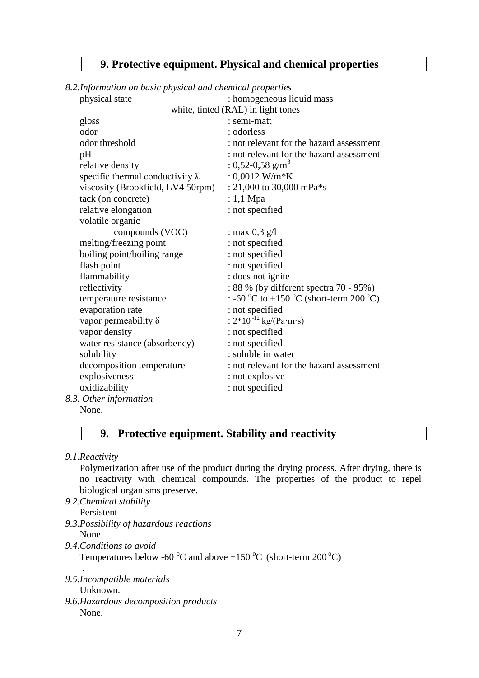## **9. Protective equipment. Physical and chemical properties**

## *8.2.Information on basic physical and chemical properties*

| physical state                          | : homogeneous liquid mass                |
|-----------------------------------------|------------------------------------------|
|                                         | white, tinted (RAL) in light tones       |
| gloss                                   | : semi-matt                              |
| odor                                    | : odorless                               |
| odor threshold                          | : not relevant for the hazard assessment |
| pH                                      | : not relevant for the hazard assessment |
| relative density                        | : 0,52-0,58 g/m <sup>3</sup>             |
| specific thermal conductivity $\lambda$ | : $0,0012$ W/m*K                         |
| viscosity (Brookfield, LV4 50rpm)       | : 21,000 to 30,000 mPa $*$ s             |
| tack (on concrete)                      | $: 1,1$ Mpa                              |
| relative elongation                     | : not specified                          |
| volatile organic                        |                                          |
| compounds (VOC)                         | : max $0,3$ g/l                          |
| melting/freezing point                  | : not specified                          |
| boiling point/boiling range             | : not specified                          |
| flash point                             | : not specified                          |
| flammability                            | : does not ignite                        |
| reflectivity                            | : 88 % (by different spectra 70 - 95%)   |
| temperature resistance                  | : -60 °C to +150 °C (short-term 200 °C)  |
| evaporation rate                        | : not specified                          |
| vapor permeability $\delta$             | : $2*10^{-12}$ kg/(Pa·m·s)               |
| vapor density                           | : not specified                          |
| water resistance (absorbency)           | : not specified                          |
| solubility                              | : soluble in water                       |
| decomposition temperature               | : not relevant for the hazard assessment |
| explosiveness                           | : not explosive                          |
| oxidizability                           | : not specified                          |
| 8.3. Other information                  |                                          |
| None.                                   |                                          |

## **9. Protective equipment. Stability and reactivity**

*9.1.Reactivity*

Polymerization after use of the product during the drying process. After drying, there is no reactivity with chemical compounds. The properties of the product to repel biological organisms preserve.

- *9.2.Chemical stability* Persistent
- *9.3.Possibility of hazardous reactions* None.
- *9.4.Conditions to avoid*

Temperatures below -60  $\rm{^{\circ}C}$  and above +150  $\rm{^{\circ}C}$  (short-term 200  $\rm{^{\circ}C}$ )

. *9.5.Incompatible materials*

Unknown.

*9.6.Hazardous decomposition products* None.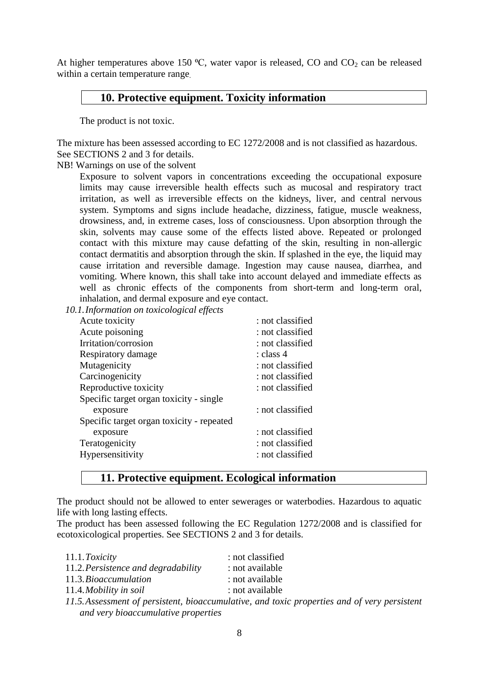At higher temperatures above 150  $\degree$ C, water vapor is released, CO and CO<sub>2</sub> can be released within a certain temperature range.

## **10. Protective equipment. Toxicity information**

The product is not toxic.

The mixture has been assessed according to EC 1272/2008 and is not classified as hazardous. See SECTIONS 2 and 3 for details.

NB! Warnings on use of the solvent

Exposure to solvent vapors in concentrations exceeding the occupational exposure limits may cause irreversible health effects such as mucosal and respiratory tract irritation, as well as irreversible effects on the kidneys, liver, and central nervous system. Symptoms and signs include headache, dizziness, fatigue, muscle weakness, drowsiness, and, in extreme cases, loss of consciousness. Upon absorption through the skin, solvents may cause some of the effects listed above. Repeated or prolonged contact with this mixture may cause defatting of the skin, resulting in non-allergic contact dermatitis and absorption through the skin. If splashed in the eye, the liquid may cause irritation and reversible damage. Ingestion may cause nausea, diarrhea, and vomiting. Where known, this shall take into account delayed and immediate effects as well as chronic effects of the components from short-term and long-term oral, inhalation, and dermal exposure and eye contact.

*10.1.Information on toxicological effects*

| Acute toxicity                            | : not classified |
|-------------------------------------------|------------------|
| Acute poisoning                           | : not classified |
| Irritation/corrosion                      | : not classified |
| Respiratory damage                        | : class 4        |
| Mutagenicity                              | : not classified |
| Carcinogenicity                           | : not classified |
| Reproductive toxicity                     | : not classified |
| Specific target organ toxicity - single   |                  |
| exposure                                  | : not classified |
| Specific target organ toxicity - repeated |                  |
| exposure                                  | : not classified |
| Teratogenicity                            | : not classified |
| Hypersensitivity                          | : not classified |
|                                           |                  |

## **11. Protective equipment. Ecological information**

The product should not be allowed to enter sewerages or waterbodies. Hazardous to aquatic life with long lasting effects.

The product has been assessed following the EC Regulation 1272/2008 and is classified for ecotoxicological properties. See SECTIONS 2 and 3 for details.

| 11.1. Toxicity                      | : not classified                                                                             |
|-------------------------------------|----------------------------------------------------------------------------------------------|
| 11.2. Persistence and degradability | : not available                                                                              |
| 11.3. Bioaccumulation               | : not available                                                                              |
| 11.4. Mobility in soil              | : not available                                                                              |
|                                     | 11.5. Assessment of persistent, bioaccumulative, and toxic properties and of very persistent |
| and very bioaccumulative properties |                                                                                              |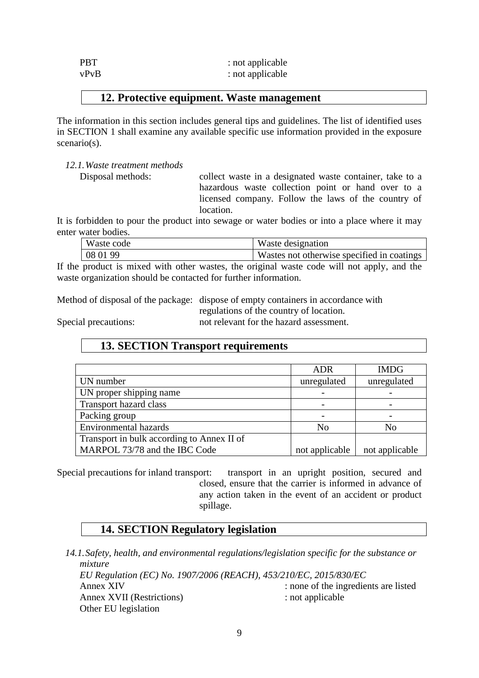| <b>PBT</b> | : not applicable |
|------------|------------------|
| vPvB       | : not applicable |

### **12. Protective equipment. Waste management**

The information in this section includes general tips and guidelines. The list of identified uses in SECTION 1 shall examine any available specific use information provided in the exposure scenario(s).

*12.1.Waste treatment methods*

Disposal methods: collect waste in a designated waste container, take to a hazardous waste collection point or hand over to a licensed company. Follow the laws of the country of location.

It is forbidden to pour the product into sewage or water bodies or into a place where it may enter water bodies.

| Waste code | Waste designation                          |
|------------|--------------------------------------------|
| 08 01 99   | Wastes not otherwise specified in coatings |

If the product is mixed with other wastes, the original waste code will not apply, and the waste organization should be contacted for further information.

Method of disposal of the package: dispose of empty containers in accordance with

regulations of the country of location.

Special precautions: not relevant for the hazard assessment.

## **13. SECTION Transport requirements**

|                                            | <b>ADR</b>     | <b>IMDG</b>    |
|--------------------------------------------|----------------|----------------|
| UN number                                  | unregulated    | unregulated    |
| UN proper shipping name                    |                |                |
| <b>Transport hazard class</b>              |                |                |
| Packing group                              |                |                |
| <b>Environmental hazards</b>               | N <sub>0</sub> | No             |
| Transport in bulk according to Annex II of |                |                |
| MARPOL 73/78 and the IBC Code              | not applicable | not applicable |

Special precautions for inland transport: transport in an upright position, secured and closed, ensure that the carrier is informed in advance of any action taken in the event of an accident or product spillage.

## **14. SECTION Regulatory legislation**

*14.1.Safety, health, and environmental regulations/legislation specific for the substance or mixture EU Regulation (EC) No. 1907/2006 (REACH), 453/210/EC, 2015/830/EC* Annex XIV : none of the ingredients are listed Annex XVII (Restrictions) : not applicable Other EU legislation